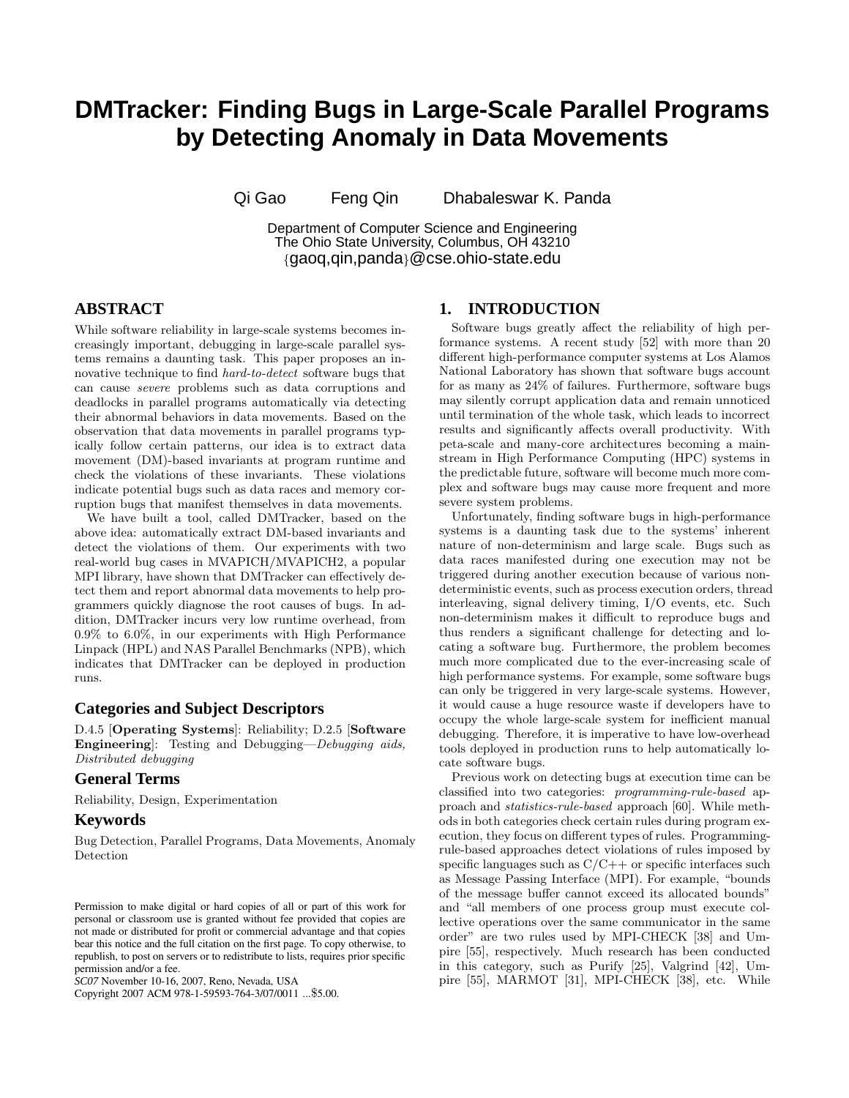# **DMTracker: Finding Bugs in Large-Scale Parallel Programs by Detecting Anomaly in Data Movements**

Qi Gao Feng Qin Dhabaleswar K. Panda

Department of Computer Science and Engineering The Ohio State University, Columbus, OH 43210 {gaoq,qin,panda}@cse.ohio-state.edu

# **ABSTRACT**

While software reliability in large-scale systems becomes increasingly important, debugging in large-scale parallel systems remains a daunting task. This paper proposes an innovative technique to find hard-to-detect software bugs that can cause severe problems such as data corruptions and deadlocks in parallel programs automatically via detecting their abnormal behaviors in data movements. Based on the observation that data movements in parallel programs typically follow certain patterns, our idea is to extract data movement (DM)-based invariants at program runtime and check the violations of these invariants. These violations indicate potential bugs such as data races and memory corruption bugs that manifest themselves in data movements.

We have built a tool, called DMTracker, based on the above idea: automatically extract DM-based invariants and detect the violations of them. Our experiments with two real-world bug cases in MVAPICH/MVAPICH2, a popular MPI library, have shown that DMTracker can effectively detect them and report abnormal data movements to help programmers quickly diagnose the root causes of bugs. In addition, DMTracker incurs very low runtime overhead, from 0.9% to 6.0%, in our experiments with High Performance Linpack (HPL) and NAS Parallel Benchmarks (NPB), which indicates that DMTracker can be deployed in production runs.

# **Categories and Subject Descriptors**

D.4.5 [Operating Systems]: Reliability; D.2.5 [Software Engineering]: Testing and Debugging—Debugging aids, Distributed debugging

# **General Terms**

Reliability, Design, Experimentation

#### **Keywords**

Bug Detection, Parallel Programs, Data Movements, Anomaly Detection

Copyright 2007 ACM 978-1-59593-764-3/07/0011 ...\$5.00.

# **1. INTRODUCTION**

Software bugs greatly affect the reliability of high performance systems. A recent study [52] with more than 20 different high-performance computer systems at Los Alamos National Laboratory has shown that software bugs account for as many as 24% of failures. Furthermore, software bugs may silently corrupt application data and remain unnoticed until termination of the whole task, which leads to incorrect results and significantly affects overall productivity. With peta-scale and many-core architectures becoming a mainstream in High Performance Computing (HPC) systems in the predictable future, software will become much more complex and software bugs may cause more frequent and more severe system problems.

Unfortunately, finding software bugs in high-performance systems is a daunting task due to the systems' inherent nature of non-determinism and large scale. Bugs such as data races manifested during one execution may not be triggered during another execution because of various nondeterministic events, such as process execution orders, thread interleaving, signal delivery timing, I/O events, etc. Such non-determinism makes it difficult to reproduce bugs and thus renders a significant challenge for detecting and locating a software bug. Furthermore, the problem becomes much more complicated due to the ever-increasing scale of high performance systems. For example, some software bugs can only be triggered in very large-scale systems. However, it would cause a huge resource waste if developers have to occupy the whole large-scale system for inefficient manual debugging. Therefore, it is imperative to have low-overhead tools deployed in production runs to help automatically locate software bugs.

Previous work on detecting bugs at execution time can be classified into two categories: programming-rule-based approach and statistics-rule-based approach [60]. While methods in both categories check certain rules during program execution, they focus on different types of rules. Programmingrule-based approaches detect violations of rules imposed by specific languages such as  $C/C++$  or specific interfaces such as Message Passing Interface (MPI). For example, "bounds of the message buffer cannot exceed its allocated bounds" and "all members of one process group must execute collective operations over the same communicator in the same order" are two rules used by MPI-CHECK [38] and Umpire [55], respectively. Much research has been conducted in this category, such as Purify [25], Valgrind [42], Umpire [55], MARMOT [31], MPI-CHECK [38], etc. While

Permission to make digital or hard copies of all or part of this work for personal or classroom use is granted without fee provided that copies are not made or distributed for profit or commercial advantage and that copies bear this notice and the full citation on the first page. To copy otherwise, to republish, to post on servers or to redistribute to lists, requires prior specific permission and/or a fee.

*SC07* November 10-16, 2007, Reno, Nevada, USA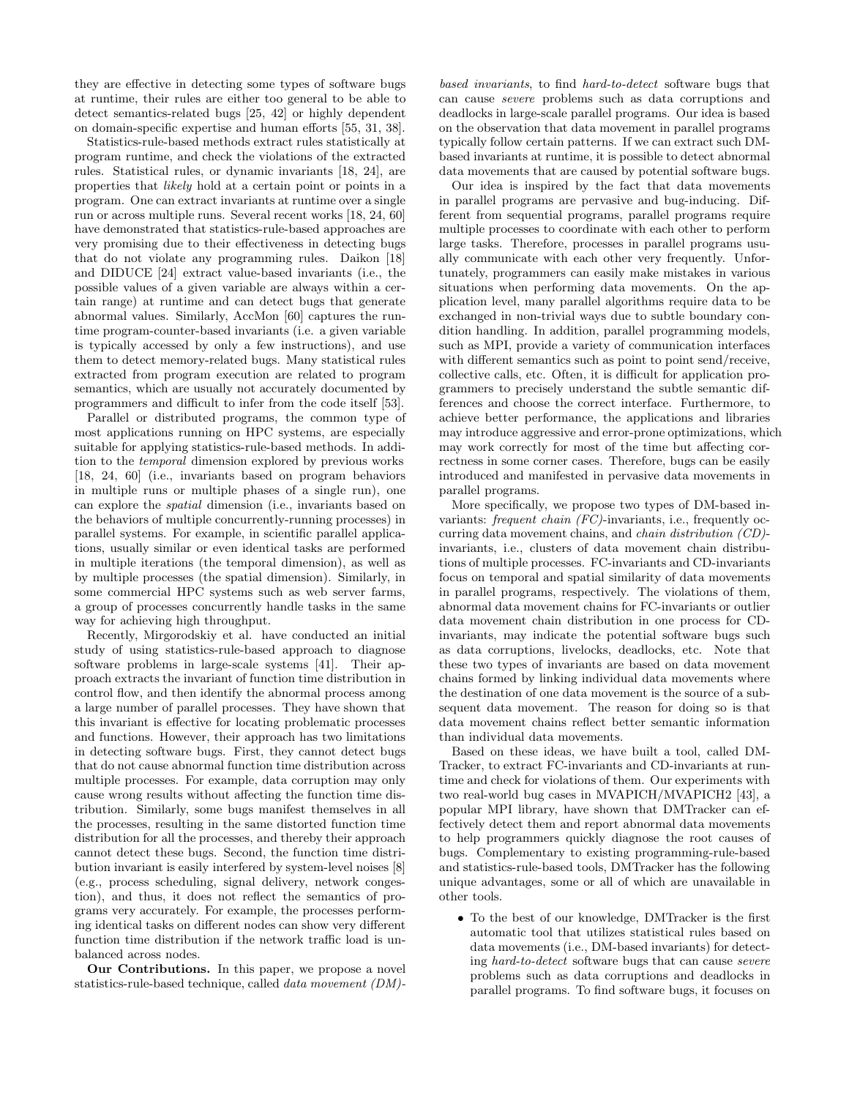they are effective in detecting some types of software bugs at runtime, their rules are either too general to be able to detect semantics-related bugs [25, 42] or highly dependent on domain-specific expertise and human efforts [55, 31, 38].

Statistics-rule-based methods extract rules statistically at program runtime, and check the violations of the extracted rules. Statistical rules, or dynamic invariants [18, 24], are properties that likely hold at a certain point or points in a program. One can extract invariants at runtime over a single run or across multiple runs. Several recent works [18, 24, 60] have demonstrated that statistics-rule-based approaches are very promising due to their effectiveness in detecting bugs that do not violate any programming rules. Daikon [18] and DIDUCE [24] extract value-based invariants (i.e., the possible values of a given variable are always within a certain range) at runtime and can detect bugs that generate abnormal values. Similarly, AccMon [60] captures the runtime program-counter-based invariants (i.e. a given variable is typically accessed by only a few instructions), and use them to detect memory-related bugs. Many statistical rules extracted from program execution are related to program semantics, which are usually not accurately documented by programmers and difficult to infer from the code itself [53].

Parallel or distributed programs, the common type of most applications running on HPC systems, are especially suitable for applying statistics-rule-based methods. In addition to the temporal dimension explored by previous works [18, 24, 60] (i.e., invariants based on program behaviors in multiple runs or multiple phases of a single run), one can explore the spatial dimension (i.e., invariants based on the behaviors of multiple concurrently-running processes) in parallel systems. For example, in scientific parallel applications, usually similar or even identical tasks are performed in multiple iterations (the temporal dimension), as well as by multiple processes (the spatial dimension). Similarly, in some commercial HPC systems such as web server farms, a group of processes concurrently handle tasks in the same way for achieving high throughput.

Recently, Mirgorodskiy et al. have conducted an initial study of using statistics-rule-based approach to diagnose software problems in large-scale systems [41]. Their approach extracts the invariant of function time distribution in control flow, and then identify the abnormal process among a large number of parallel processes. They have shown that this invariant is effective for locating problematic processes and functions. However, their approach has two limitations in detecting software bugs. First, they cannot detect bugs that do not cause abnormal function time distribution across multiple processes. For example, data corruption may only cause wrong results without affecting the function time distribution. Similarly, some bugs manifest themselves in all the processes, resulting in the same distorted function time distribution for all the processes, and thereby their approach cannot detect these bugs. Second, the function time distribution invariant is easily interfered by system-level noises [8] (e.g., process scheduling, signal delivery, network congestion), and thus, it does not reflect the semantics of programs very accurately. For example, the processes performing identical tasks on different nodes can show very different function time distribution if the network traffic load is unbalanced across nodes.

Our Contributions. In this paper, we propose a novel statistics-rule-based technique, called data movement (DM)-

based invariants, to find hard-to-detect software bugs that can cause severe problems such as data corruptions and deadlocks in large-scale parallel programs. Our idea is based on the observation that data movement in parallel programs typically follow certain patterns. If we can extract such DMbased invariants at runtime, it is possible to detect abnormal data movements that are caused by potential software bugs.

Our idea is inspired by the fact that data movements in parallel programs are pervasive and bug-inducing. Different from sequential programs, parallel programs require multiple processes to coordinate with each other to perform large tasks. Therefore, processes in parallel programs usually communicate with each other very frequently. Unfortunately, programmers can easily make mistakes in various situations when performing data movements. On the application level, many parallel algorithms require data to be exchanged in non-trivial ways due to subtle boundary condition handling. In addition, parallel programming models, such as MPI, provide a variety of communication interfaces with different semantics such as point to point send/receive, collective calls, etc. Often, it is difficult for application programmers to precisely understand the subtle semantic differences and choose the correct interface. Furthermore, to achieve better performance, the applications and libraries may introduce aggressive and error-prone optimizations, which may work correctly for most of the time but affecting correctness in some corner cases. Therefore, bugs can be easily introduced and manifested in pervasive data movements in parallel programs.

More specifically, we propose two types of DM-based invariants: frequent chain (FC)-invariants, i.e., frequently occurring data movement chains, and chain distribution (CD) invariants, i.e., clusters of data movement chain distributions of multiple processes. FC-invariants and CD-invariants focus on temporal and spatial similarity of data movements in parallel programs, respectively. The violations of them, abnormal data movement chains for FC-invariants or outlier data movement chain distribution in one process for CDinvariants, may indicate the potential software bugs such as data corruptions, livelocks, deadlocks, etc. Note that these two types of invariants are based on data movement chains formed by linking individual data movements where the destination of one data movement is the source of a subsequent data movement. The reason for doing so is that data movement chains reflect better semantic information than individual data movements.

Based on these ideas, we have built a tool, called DM-Tracker, to extract FC-invariants and CD-invariants at runtime and check for violations of them. Our experiments with two real-world bug cases in MVAPICH/MVAPICH2 [43], a popular MPI library, have shown that DMTracker can effectively detect them and report abnormal data movements to help programmers quickly diagnose the root causes of bugs. Complementary to existing programming-rule-based and statistics-rule-based tools, DMTracker has the following unique advantages, some or all of which are unavailable in other tools.

• To the best of our knowledge, DMTracker is the first automatic tool that utilizes statistical rules based on data movements (i.e., DM-based invariants) for detecting hard-to-detect software bugs that can cause severe problems such as data corruptions and deadlocks in parallel programs. To find software bugs, it focuses on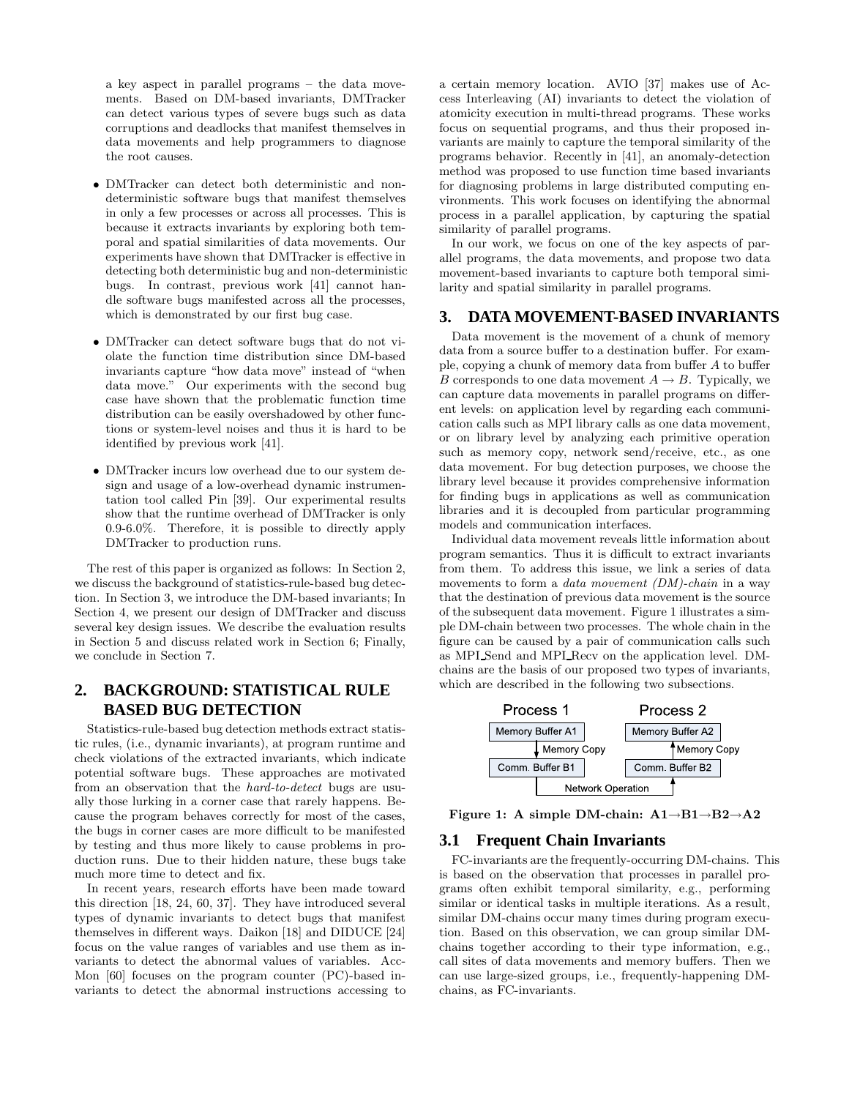a key aspect in parallel programs – the data movements. Based on DM-based invariants, DMTracker can detect various types of severe bugs such as data corruptions and deadlocks that manifest themselves in data movements and help programmers to diagnose the root causes.

- DMTracker can detect both deterministic and nondeterministic software bugs that manifest themselves in only a few processes or across all processes. This is because it extracts invariants by exploring both temporal and spatial similarities of data movements. Our experiments have shown that DMTracker is effective in detecting both deterministic bug and non-deterministic bugs. In contrast, previous work [41] cannot handle software bugs manifested across all the processes, which is demonstrated by our first bug case.
- DMTracker can detect software bugs that do not violate the function time distribution since DM-based invariants capture "how data move" instead of "when data move." Our experiments with the second bug case have shown that the problematic function time distribution can be easily overshadowed by other functions or system-level noises and thus it is hard to be identified by previous work [41].
- DMTracker incurs low overhead due to our system design and usage of a low-overhead dynamic instrumentation tool called Pin [39]. Our experimental results show that the runtime overhead of DMTracker is only 0.9-6.0%. Therefore, it is possible to directly apply DMTracker to production runs.

The rest of this paper is organized as follows: In Section 2, we discuss the background of statistics-rule-based bug detection. In Section 3, we introduce the DM-based invariants; In Section 4, we present our design of DMTracker and discuss several key design issues. We describe the evaluation results in Section 5 and discuss related work in Section 6; Finally, we conclude in Section 7.

# **2. BACKGROUND: STATISTICAL RULE BASED BUG DETECTION**

Statistics-rule-based bug detection methods extract statistic rules, (i.e., dynamic invariants), at program runtime and check violations of the extracted invariants, which indicate potential software bugs. These approaches are motivated from an observation that the hard-to-detect bugs are usually those lurking in a corner case that rarely happens. Because the program behaves correctly for most of the cases, the bugs in corner cases are more difficult to be manifested by testing and thus more likely to cause problems in production runs. Due to their hidden nature, these bugs take much more time to detect and fix.

In recent years, research efforts have been made toward this direction [18, 24, 60, 37]. They have introduced several types of dynamic invariants to detect bugs that manifest themselves in different ways. Daikon [18] and DIDUCE [24] focus on the value ranges of variables and use them as invariants to detect the abnormal values of variables. Acc-Mon [60] focuses on the program counter (PC)-based invariants to detect the abnormal instructions accessing to a certain memory location. AVIO [37] makes use of Access Interleaving (AI) invariants to detect the violation of atomicity execution in multi-thread programs. These works focus on sequential programs, and thus their proposed invariants are mainly to capture the temporal similarity of the programs behavior. Recently in [41], an anomaly-detection method was proposed to use function time based invariants for diagnosing problems in large distributed computing environments. This work focuses on identifying the abnormal process in a parallel application, by capturing the spatial similarity of parallel programs.

In our work, we focus on one of the key aspects of parallel programs, the data movements, and propose two data movement-based invariants to capture both temporal similarity and spatial similarity in parallel programs.

# **3. DATA MOVEMENT-BASED INVARIANTS**

Data movement is the movement of a chunk of memory data from a source buffer to a destination buffer. For example, copying a chunk of memory data from buffer A to buffer B corresponds to one data movement  $A \rightarrow B$ . Typically, we can capture data movements in parallel programs on different levels: on application level by regarding each communication calls such as MPI library calls as one data movement, or on library level by analyzing each primitive operation such as memory copy, network send/receive, etc., as one data movement. For bug detection purposes, we choose the library level because it provides comprehensive information for finding bugs in applications as well as communication libraries and it is decoupled from particular programming models and communication interfaces.

Individual data movement reveals little information about program semantics. Thus it is difficult to extract invariants from them. To address this issue, we link a series of data movements to form a *data movement (DM)-chain* in a way that the destination of previous data movement is the source of the subsequent data movement. Figure 1 illustrates a simple DM-chain between two processes. The whole chain in the figure can be caused by a pair of communication calls such as MPI Send and MPI Recv on the application level. DMchains are the basis of our proposed two types of invariants, which are described in the following two subsections.



Figure 1: A simple DM-chain: A1→B1→B2→A2

# **3.1 Frequent Chain Invariants**

FC-invariants are the frequently-occurring DM-chains. This is based on the observation that processes in parallel programs often exhibit temporal similarity, e.g., performing similar or identical tasks in multiple iterations. As a result, similar DM-chains occur many times during program execution. Based on this observation, we can group similar DMchains together according to their type information, e.g., call sites of data movements and memory buffers. Then we can use large-sized groups, i.e., frequently-happening DMchains, as FC-invariants.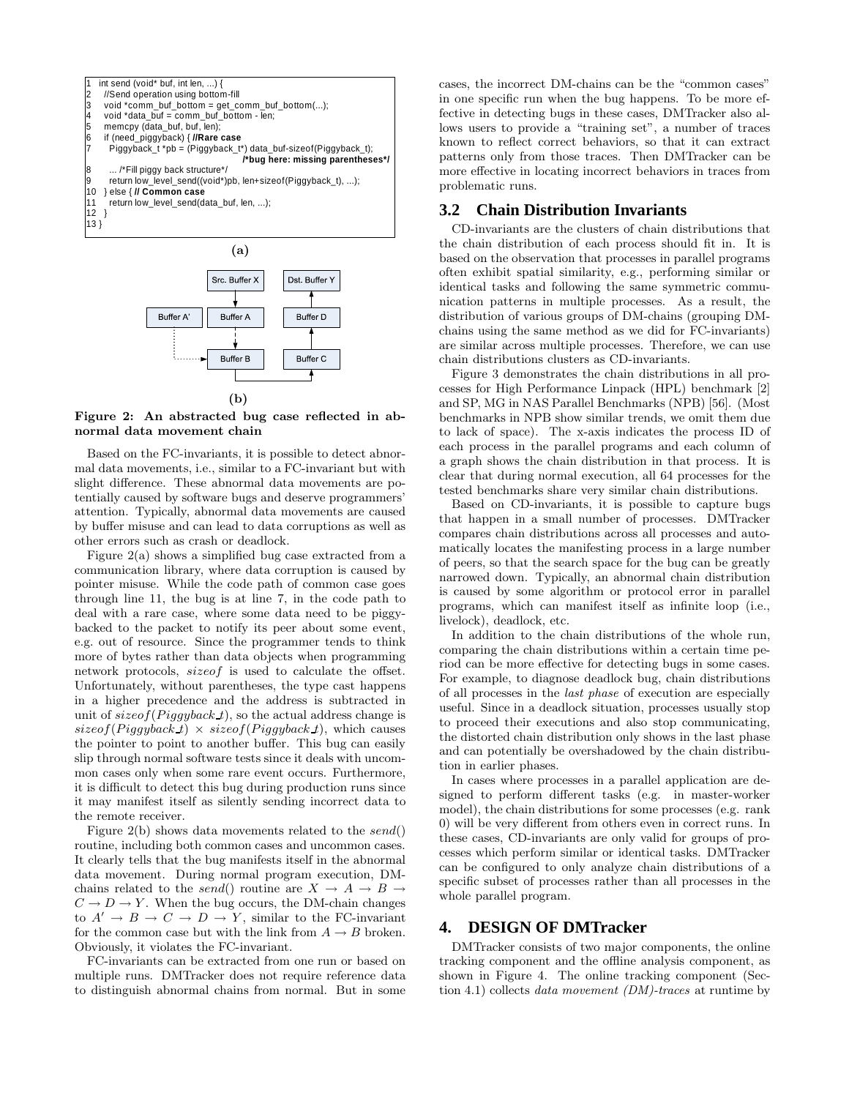



Figure 2: An abstracted bug case reflected in abnormal data movement chain

Based on the FC-invariants, it is possible to detect abnormal data movements, i.e., similar to a FC-invariant but with slight difference. These abnormal data movements are potentially caused by software bugs and deserve programmers' attention. Typically, abnormal data movements are caused by buffer misuse and can lead to data corruptions as well as other errors such as crash or deadlock.

Figure 2(a) shows a simplified bug case extracted from a communication library, where data corruption is caused by pointer misuse. While the code path of common case goes through line 11, the bug is at line 7, in the code path to deal with a rare case, where some data need to be piggybacked to the packet to notify its peer about some event, e.g. out of resource. Since the programmer tends to think more of bytes rather than data objects when programming network protocols, sizeof is used to calculate the offset. Unfortunately, without parentheses, the type cast happens in a higher precedence and the address is subtracted in unit of  $sizeof(Piggyback_t)$ , so the actual address change is  $sizeof(Piggyback_t) \times sizeof(Piggyback_t),$  which causes the pointer to point to another buffer. This bug can easily slip through normal software tests since it deals with uncommon cases only when some rare event occurs. Furthermore, it is difficult to detect this bug during production runs since it may manifest itself as silently sending incorrect data to the remote receiver.

Figure 2(b) shows data movements related to the  $send()$ routine, including both common cases and uncommon cases. It clearly tells that the bug manifests itself in the abnormal data movement. During normal program execution, DMchains related to the send() routine are  $X \to A \to B \to$  $C \rightarrow D \rightarrow Y$ . When the bug occurs, the DM-chain changes to  $A' \to B \to C \to D \to Y$ , similar to the FC-invariant for the common case but with the link from  $A \rightarrow B$  broken. Obviously, it violates the FC-invariant.

FC-invariants can be extracted from one run or based on multiple runs. DMTracker does not require reference data to distinguish abnormal chains from normal. But in some

cases, the incorrect DM-chains can be the "common cases" in one specific run when the bug happens. To be more effective in detecting bugs in these cases, DMTracker also allows users to provide a "training set", a number of traces known to reflect correct behaviors, so that it can extract patterns only from those traces. Then DMTracker can be more effective in locating incorrect behaviors in traces from problematic runs.

# **3.2 Chain Distribution Invariants**

CD-invariants are the clusters of chain distributions that the chain distribution of each process should fit in. It is based on the observation that processes in parallel programs often exhibit spatial similarity, e.g., performing similar or identical tasks and following the same symmetric communication patterns in multiple processes. As a result, the distribution of various groups of DM-chains (grouping DMchains using the same method as we did for FC-invariants) are similar across multiple processes. Therefore, we can use chain distributions clusters as CD-invariants.

Figure 3 demonstrates the chain distributions in all processes for High Performance Linpack (HPL) benchmark [2] and SP, MG in NAS Parallel Benchmarks (NPB) [56]. (Most benchmarks in NPB show similar trends, we omit them due to lack of space). The x-axis indicates the process ID of each process in the parallel programs and each column of a graph shows the chain distribution in that process. It is clear that during normal execution, all 64 processes for the tested benchmarks share very similar chain distributions.

Based on CD-invariants, it is possible to capture bugs that happen in a small number of processes. DMTracker compares chain distributions across all processes and automatically locates the manifesting process in a large number of peers, so that the search space for the bug can be greatly narrowed down. Typically, an abnormal chain distribution is caused by some algorithm or protocol error in parallel programs, which can manifest itself as infinite loop (i.e., livelock), deadlock, etc.

In addition to the chain distributions of the whole run, comparing the chain distributions within a certain time period can be more effective for detecting bugs in some cases. For example, to diagnose deadlock bug, chain distributions of all processes in the last phase of execution are especially useful. Since in a deadlock situation, processes usually stop to proceed their executions and also stop communicating, the distorted chain distribution only shows in the last phase and can potentially be overshadowed by the chain distribution in earlier phases.

In cases where processes in a parallel application are designed to perform different tasks (e.g. in master-worker model), the chain distributions for some processes (e.g. rank 0) will be very different from others even in correct runs. In these cases, CD-invariants are only valid for groups of processes which perform similar or identical tasks. DMTracker can be configured to only analyze chain distributions of a specific subset of processes rather than all processes in the whole parallel program.

# **4. DESIGN OF DMTracker**

DMTracker consists of two major components, the online tracking component and the offline analysis component, as shown in Figure 4. The online tracking component (Section 4.1) collects data movement (DM)-traces at runtime by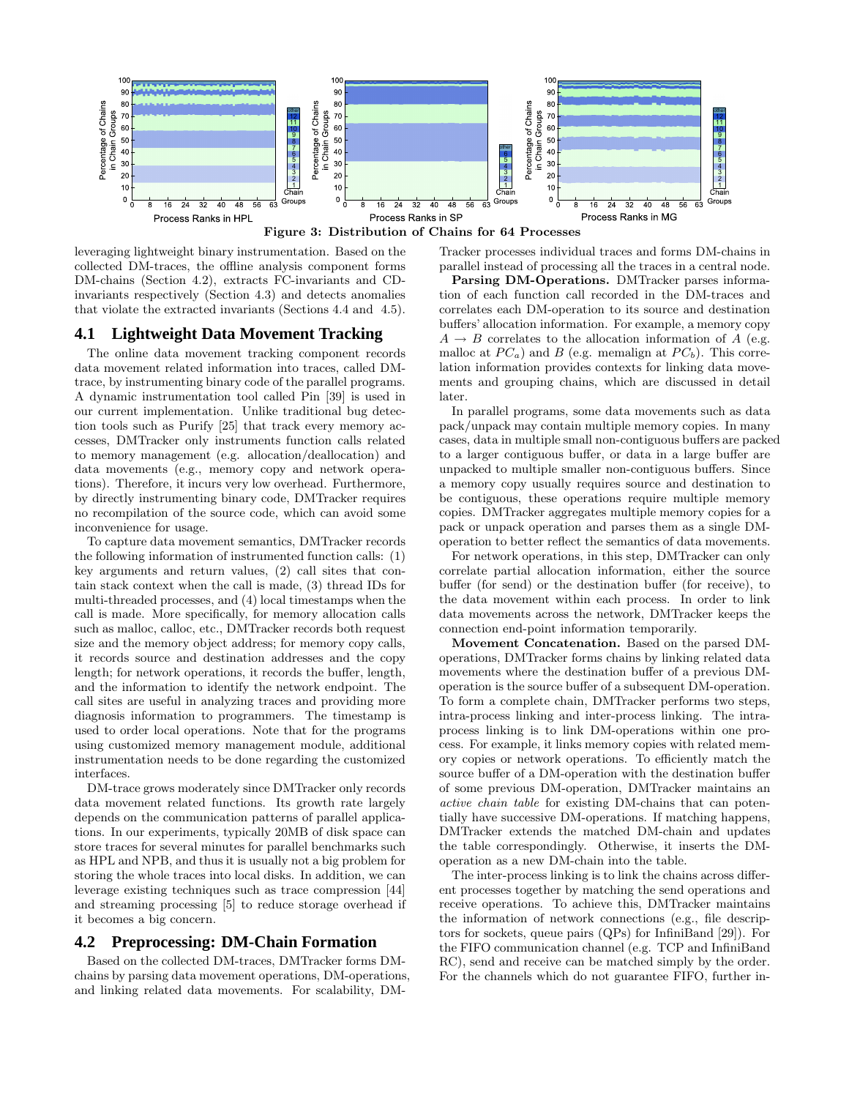

leveraging lightweight binary instrumentation. Based on the collected DM-traces, the offline analysis component forms DM-chains (Section 4.2), extracts FC-invariants and CDinvariants respectively (Section 4.3) and detects anomalies that violate the extracted invariants (Sections 4.4 and 4.5).

# **4.1 Lightweight Data Movement Tracking**

The online data movement tracking component records data movement related information into traces, called DMtrace, by instrumenting binary code of the parallel programs. A dynamic instrumentation tool called Pin [39] is used in our current implementation. Unlike traditional bug detection tools such as Purify [25] that track every memory accesses, DMTracker only instruments function calls related to memory management (e.g. allocation/deallocation) and data movements (e.g., memory copy and network operations). Therefore, it incurs very low overhead. Furthermore, by directly instrumenting binary code, DMTracker requires no recompilation of the source code, which can avoid some inconvenience for usage.

To capture data movement semantics, DMTracker records the following information of instrumented function calls: (1) key arguments and return values, (2) call sites that contain stack context when the call is made, (3) thread IDs for multi-threaded processes, and (4) local timestamps when the call is made. More specifically, for memory allocation calls such as malloc, calloc, etc., DMTracker records both request size and the memory object address; for memory copy calls, it records source and destination addresses and the copy length; for network operations, it records the buffer, length, and the information to identify the network endpoint. The call sites are useful in analyzing traces and providing more diagnosis information to programmers. The timestamp is used to order local operations. Note that for the programs using customized memory management module, additional instrumentation needs to be done regarding the customized interfaces.

DM-trace grows moderately since DMTracker only records data movement related functions. Its growth rate largely depends on the communication patterns of parallel applications. In our experiments, typically 20MB of disk space can store traces for several minutes for parallel benchmarks such as HPL and NPB, and thus it is usually not a big problem for storing the whole traces into local disks. In addition, we can leverage existing techniques such as trace compression [44] and streaming processing [5] to reduce storage overhead if it becomes a big concern.

#### **4.2 Preprocessing: DM-Chain Formation**

Based on the collected DM-traces, DMTracker forms DMchains by parsing data movement operations, DM-operations, and linking related data movements. For scalability, DM-

Tracker processes individual traces and forms DM-chains in parallel instead of processing all the traces in a central node.

Parsing DM-Operations. DMTracker parses information of each function call recorded in the DM-traces and correlates each DM-operation to its source and destination buffers' allocation information. For example, a memory copy  $A \rightarrow B$  correlates to the allocation information of A (e.g. malloc at  $PC_a$ ) and B (e.g. memalign at  $PC_b$ ). This correlation information provides contexts for linking data movements and grouping chains, which are discussed in detail later.

In parallel programs, some data movements such as data pack/unpack may contain multiple memory copies. In many cases, data in multiple small non-contiguous buffers are packed to a larger contiguous buffer, or data in a large buffer are unpacked to multiple smaller non-contiguous buffers. Since a memory copy usually requires source and destination to be contiguous, these operations require multiple memory copies. DMTracker aggregates multiple memory copies for a pack or unpack operation and parses them as a single DMoperation to better reflect the semantics of data movements.

For network operations, in this step, DMTracker can only correlate partial allocation information, either the source buffer (for send) or the destination buffer (for receive), to the data movement within each process. In order to link data movements across the network, DMTracker keeps the connection end-point information temporarily.

Movement Concatenation. Based on the parsed DMoperations, DMTracker forms chains by linking related data movements where the destination buffer of a previous DMoperation is the source buffer of a subsequent DM-operation. To form a complete chain, DMTracker performs two steps, intra-process linking and inter-process linking. The intraprocess linking is to link DM-operations within one process. For example, it links memory copies with related memory copies or network operations. To efficiently match the source buffer of a DM-operation with the destination buffer of some previous DM-operation, DMTracker maintains an active chain table for existing DM-chains that can potentially have successive DM-operations. If matching happens, DMTracker extends the matched DM-chain and updates the table correspondingly. Otherwise, it inserts the DMoperation as a new DM-chain into the table.

The inter-process linking is to link the chains across different processes together by matching the send operations and receive operations. To achieve this, DMTracker maintains the information of network connections (e.g., file descriptors for sockets, queue pairs (QPs) for InfiniBand [29]). For the FIFO communication channel (e.g. TCP and InfiniBand RC), send and receive can be matched simply by the order. For the channels which do not guarantee FIFO, further in-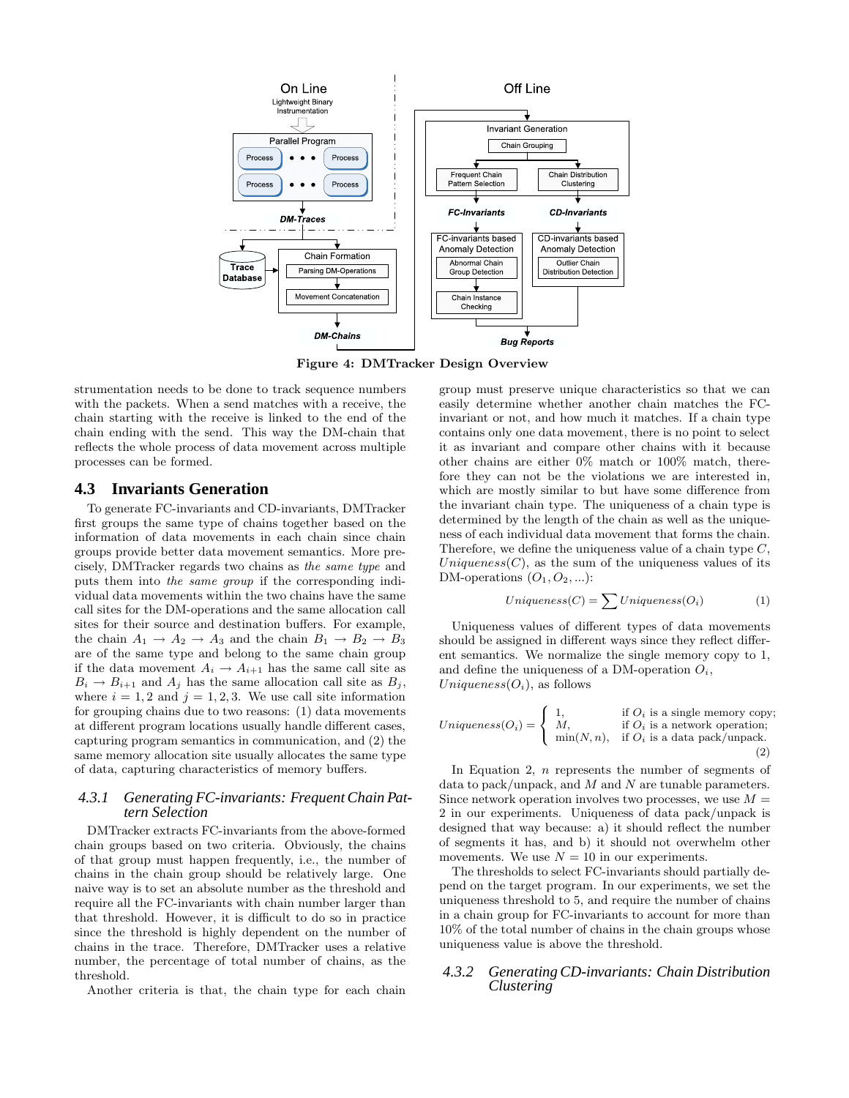

Figure 4: DMTracker Design Overview

strumentation needs to be done to track sequence numbers with the packets. When a send matches with a receive, the chain starting with the receive is linked to the end of the chain ending with the send. This way the DM-chain that reflects the whole process of data movement across multiple processes can be formed.

#### **4.3 Invariants Generation**

To generate FC-invariants and CD-invariants, DMTracker first groups the same type of chains together based on the information of data movements in each chain since chain groups provide better data movement semantics. More precisely, DMTracker regards two chains as the same type and puts them into the same group if the corresponding individual data movements within the two chains have the same call sites for the DM-operations and the same allocation call sites for their source and destination buffers. For example, the chain  $A_1 \rightarrow A_2 \rightarrow A_3$  and the chain  $B_1 \rightarrow B_2 \rightarrow B_3$ are of the same type and belong to the same chain group if the data movement  $A_i \rightarrow A_{i+1}$  has the same call site as  $B_i \rightarrow B_{i+1}$  and  $A_j$  has the same allocation call site as  $B_j$ , where  $i = 1, 2$  and  $j = 1, 2, 3$ . We use call site information for grouping chains due to two reasons: (1) data movements at different program locations usually handle different cases, capturing program semantics in communication, and (2) the same memory allocation site usually allocates the same type of data, capturing characteristics of memory buffers.

#### *4.3.1 Generating FC-invariants: FrequentChain Pattern Selection*

DMTracker extracts FC-invariants from the above-formed chain groups based on two criteria. Obviously, the chains of that group must happen frequently, i.e., the number of chains in the chain group should be relatively large. One naive way is to set an absolute number as the threshold and require all the FC-invariants with chain number larger than that threshold. However, it is difficult to do so in practice since the threshold is highly dependent on the number of chains in the trace. Therefore, DMTracker uses a relative number, the percentage of total number of chains, as the threshold.

Another criteria is that, the chain type for each chain

group must preserve unique characteristics so that we can easily determine whether another chain matches the FCinvariant or not, and how much it matches. If a chain type contains only one data movement, there is no point to select it as invariant and compare other chains with it because other chains are either 0% match or 100% match, therefore they can not be the violations we are interested in, which are mostly similar to but have some difference from the invariant chain type. The uniqueness of a chain type is determined by the length of the chain as well as the uniqueness of each individual data movement that forms the chain. Therefore, we define the uniqueness value of a chain type  $C$ , Uniqueness $(C)$ , as the sum of the uniqueness values of its DM-operations  $(O_1, O_2, ...)$ :

$$
Uniqueness(C) = \sum Uniqueness(O_i)
$$
 (1)

Uniqueness values of different types of data movements should be assigned in different ways since they reflect different semantics. We normalize the single memory copy to 1, and define the uniqueness of a DM-operation  $O_i$ ,  $Uniqueness(O_i)$ , as follows

$$
Uniqueness(O_i) = \begin{cases} 1, & \text{if } O_i \text{ is a single memory copy;} \\ M, & \text{if } O_i \text{ is a network operation;} \\ \min(N, n), & \text{if } O_i \text{ is a data pack/unpack.} \end{cases} \tag{2}
$$

In Equation 2, *n* represents the number of segments of data to pack/unpack, and M and N are tunable parameters. Since network operation involves two processes, we use  $M =$ 2 in our experiments. Uniqueness of data pack/unpack is designed that way because: a) it should reflect the number of segments it has, and b) it should not overwhelm other movements. We use  $N = 10$  in our experiments.

The thresholds to select FC-invariants should partially depend on the target program. In our experiments, we set the uniqueness threshold to 5, and require the number of chains in a chain group for FC-invariants to account for more than 10% of the total number of chains in the chain groups whose uniqueness value is above the threshold.

## *4.3.2 GeneratingCD-invariants: Chain Distribution Clustering*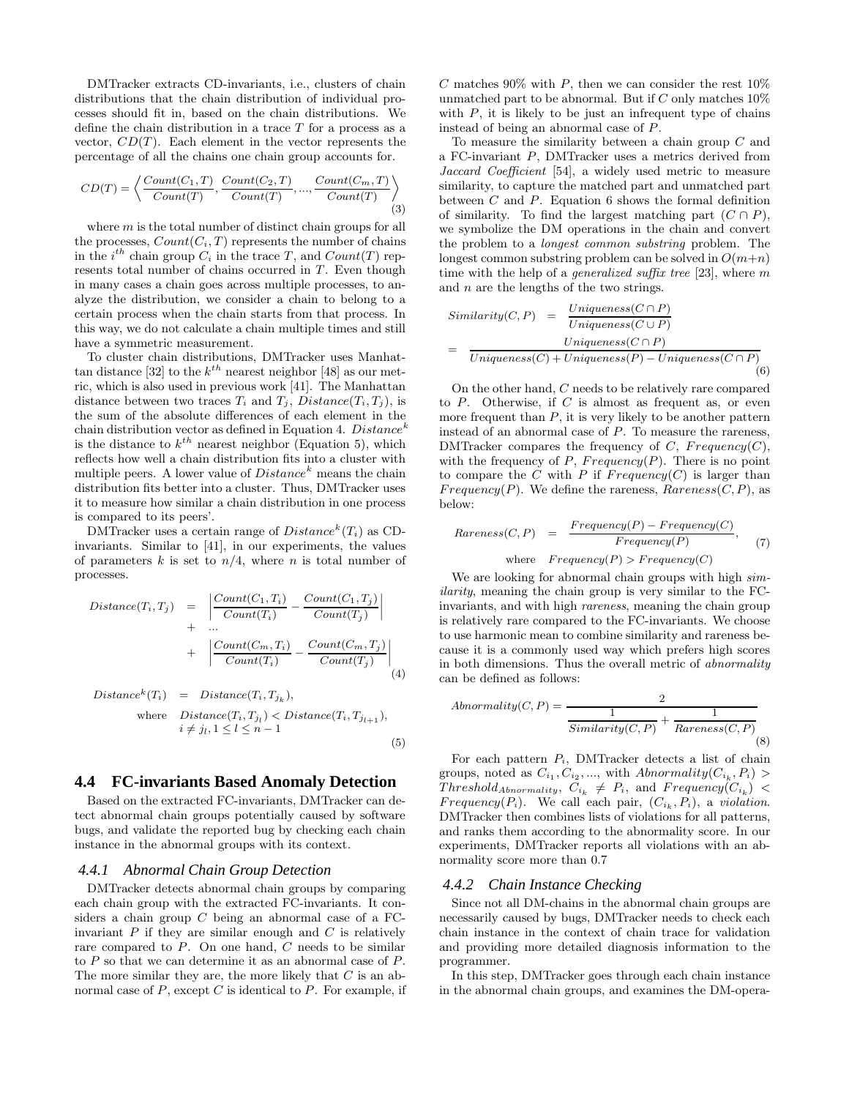DMTracker extracts CD-invariants, i.e., clusters of chain distributions that the chain distribution of individual processes should fit in, based on the chain distributions. We define the chain distribution in a trace  $T$  for a process as a vector,  $CD(T)$ . Each element in the vector represents the percentage of all the chains one chain group accounts for.

$$
CD(T) = \left\langle \frac{Count(C_1, T)}{Count(T)}, \frac{Count(C_2, T)}{Count(T)}, ..., \frac{Count(C_m, T)}{Count(T)} \right\rangle
$$
\n(3)

where  $m$  is the total number of distinct chain groups for all the processes,  $Count(C_i, T)$  represents the number of chains in the  $i^{th}$  chain group  $C_i$  in the trace T, and  $Count(T)$  represents total number of chains occurred in T. Even though in many cases a chain goes across multiple processes, to analyze the distribution, we consider a chain to belong to a certain process when the chain starts from that process. In this way, we do not calculate a chain multiple times and still have a symmetric measurement.

To cluster chain distributions, DMTracker uses Manhattan distance [32] to the  $k^{th}$  nearest neighbor [48] as our metric, which is also used in previous work [41]. The Manhattan distance between two traces  $T_i$  and  $T_j$ ,  $Distance(T_i, T_j)$ , is the sum of the absolute differences of each element in the chain distribution vector as defined in Equation 4.  $Distance<sup>k</sup>$ is the distance to  $k^{th}$  nearest neighbor (Equation 5), which reflects how well a chain distribution fits into a cluster with multiple peers. A lower value of  $Distance^k$  means the chain distribution fits better into a cluster. Thus, DMTracker uses it to measure how similar a chain distribution in one process is compared to its peers'.

DMTracker uses a certain range of  $Distance^k(T_i)$  as CDinvariants. Similar to [41], in our experiments, the values of parameters k is set to  $n/4$ , where n is total number of processes.

$$
Distance(T_i, T_j) = \left| \frac{Count(C_1, T_i)}{Count(T_i)} - \frac{Count(C_1, T_j)}{Count(T_j)} \right|
$$
  
+ ...  
+ 
$$
\left| \frac{Count(C_m, T_i)}{Count(T_i)} - \frac{Count(C_m, T_j)}{Count(T_j)} \right|
$$
(4)

$$
Distance^{k}(T_i) = Distance(T_i, T_{j_k}),
$$
  
where  $Distance(T_i, T_{j_l}) < Distance(T_i, T_{j_{l+1}}),$   
 $i \neq j_l, 1 \leq l \leq n-1$  (5)

#### **4.4 FC-invariants Based Anomaly Detection**

Based on the extracted FC-invariants, DMTracker can detect abnormal chain groups potentially caused by software bugs, and validate the reported bug by checking each chain instance in the abnormal groups with its context.

#### *4.4.1 Abnormal Chain Group Detection*

DMTracker detects abnormal chain groups by comparing each chain group with the extracted FC-invariants. It considers a chain group  $C$  being an abnormal case of a FCinvariant  $P$  if they are similar enough and  $C$  is relatively rare compared to P. On one hand, C needs to be similar to P so that we can determine it as an abnormal case of P. The more similar they are, the more likely that  $C$  is an abnormal case of  $P$ , except  $C$  is identical to  $P$ . For example, if C matches 90% with P, then we can consider the rest  $10\%$ unmatched part to be abnormal. But if  $C$  only matches  $10\%$ with  $P$ , it is likely to be just an infrequent type of chains instead of being an abnormal case of P.

To measure the similarity between a chain group C and a FC-invariant P, DMTracker uses a metrics derived from Jaccard Coefficient [54], a widely used metric to measure similarity, to capture the matched part and unmatched part between  $C$  and  $P$ . Equation 6 shows the formal definition of similarity. To find the largest matching part  $(C \cap P)$ , we symbolize the DM operations in the chain and convert the problem to a longest common substring problem. The longest common substring problem can be solved in  $O(m+n)$ time with the help of a *generalized suffix tree* [23], where m and  $n$  are the lengths of the two strings.

$$
Similarity(C, P) = \frac{Uniqueness(C \cap P)}{Uniqueness(C \cup P)}
$$
  
= 
$$
\frac{Uniqueness(C \cap P)}{Uniqueness(C) + Uniqueness(P) - Uniqueness(C \cap P)}
$$
  
(6)

On the other hand, C needs to be relatively rare compared to  $P$ . Otherwise, if  $C$  is almost as frequent as, or even more frequent than  $P$ , it is very likely to be another pattern instead of an abnormal case of P. To measure the rareness, DMTracker compares the frequency of C,  $Frequency(C)$ , with the frequency of P,  $Frequency(P)$ . There is no point to compare the C with P if  $Frequency(C)$  is larger than Frequency(P). We define the rareness,  $Rareness(C, P)$ , as below:

$$
Rareness(C, P) = \frac{Frequency(P) - Frequency(C)}{Frequency(P)},
$$
  
where  $Frequency(P) > Frequency(C)$  (7)

We are looking for abnormal chain groups with high  $sim$ ilarity, meaning the chain group is very similar to the FCinvariants, and with high rareness, meaning the chain group is relatively rare compared to the FC-invariants. We choose to use harmonic mean to combine similarity and rareness because it is a commonly used way which prefers high scores in both dimensions. Thus the overall metric of abnormality can be defined as follows:

$$
Abnormality(C, P) = \frac{2}{\frac{1}{Similarity(C, P)} + \frac{1}{Rareness(C, P)}}
$$
\n(8)

For each pattern  $P_i$ , DMTracker detects a list of chain groups, noted as  $C_{i_1}, C_{i_2}, \ldots$ , with  $Abnormality(C_{i_k}, P_i) >$  $Threshold_{Abnormality}, C_{i_k} \neq P_i$ , and  $Frequency(C_{i_k})$  < Frequency( $P_i$ ). We call each pair,  $(C_{i_k}, P_i)$ , a violation. DMTracker then combines lists of violations for all patterns, and ranks them according to the abnormality score. In our experiments, DMTracker reports all violations with an abnormality score more than 0.7

#### *4.4.2 Chain Instance Checking*

Since not all DM-chains in the abnormal chain groups are necessarily caused by bugs, DMTracker needs to check each chain instance in the context of chain trace for validation and providing more detailed diagnosis information to the programmer.

In this step, DMTracker goes through each chain instance in the abnormal chain groups, and examines the DM-opera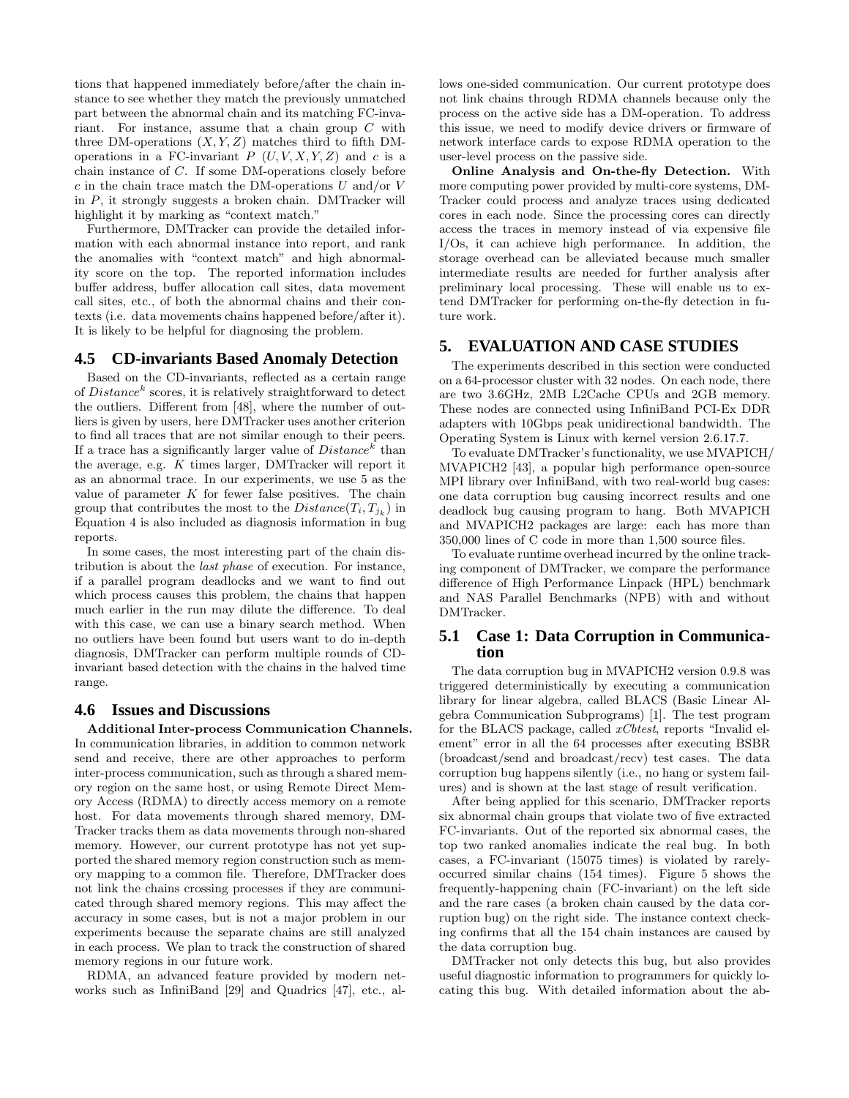tions that happened immediately before/after the chain instance to see whether they match the previously unmatched part between the abnormal chain and its matching FC-invariant. For instance, assume that a chain group C with three DM-operations  $(X, Y, Z)$  matches third to fifth DMoperations in a FC-invariant  $P(U, V, X, Y, Z)$  and c is a chain instance of C. If some DM-operations closely before c in the chain trace match the DM-operations  $U$  and/or  $V$ in P, it strongly suggests a broken chain. DMTracker will highlight it by marking as "context match."

Furthermore, DMTracker can provide the detailed information with each abnormal instance into report, and rank the anomalies with "context match" and high abnormality score on the top. The reported information includes buffer address, buffer allocation call sites, data movement call sites, etc., of both the abnormal chains and their contexts (i.e. data movements chains happened before/after it). It is likely to be helpful for diagnosing the problem.

# **4.5 CD-invariants Based Anomaly Detection**

Based on the CD-invariants, reflected as a certain range of  $Distance^k$  scores, it is relatively straightforward to detect the outliers. Different from [48], where the number of outliers is given by users, here DMTracker uses another criterion to find all traces that are not similar enough to their peers. If a trace has a significantly larger value of  $Distance^k$  than the average, e.g. K times larger, DMTracker will report it as an abnormal trace. In our experiments, we use 5 as the value of parameter  $K$  for fewer false positives. The chain group that contributes the most to the  $Distance(T_i, T_{j_k})$  in Equation 4 is also included as diagnosis information in bug reports.

In some cases, the most interesting part of the chain distribution is about the last phase of execution. For instance, if a parallel program deadlocks and we want to find out which process causes this problem, the chains that happen much earlier in the run may dilute the difference. To deal with this case, we can use a binary search method. When no outliers have been found but users want to do in-depth diagnosis, DMTracker can perform multiple rounds of CDinvariant based detection with the chains in the halved time range.

# **4.6 Issues and Discussions**

Additional Inter-process Communication Channels. In communication libraries, in addition to common network send and receive, there are other approaches to perform inter-process communication, such as through a shared memory region on the same host, or using Remote Direct Memory Access (RDMA) to directly access memory on a remote host. For data movements through shared memory, DM-Tracker tracks them as data movements through non-shared memory. However, our current prototype has not yet supported the shared memory region construction such as memory mapping to a common file. Therefore, DMTracker does not link the chains crossing processes if they are communicated through shared memory regions. This may affect the accuracy in some cases, but is not a major problem in our experiments because the separate chains are still analyzed in each process. We plan to track the construction of shared memory regions in our future work.

RDMA, an advanced feature provided by modern networks such as InfiniBand [29] and Quadrics [47], etc., allows one-sided communication. Our current prototype does not link chains through RDMA channels because only the process on the active side has a DM-operation. To address this issue, we need to modify device drivers or firmware of network interface cards to expose RDMA operation to the user-level process on the passive side.

Online Analysis and On-the-fly Detection. With more computing power provided by multi-core systems, DM-Tracker could process and analyze traces using dedicated cores in each node. Since the processing cores can directly access the traces in memory instead of via expensive file I/Os, it can achieve high performance. In addition, the storage overhead can be alleviated because much smaller intermediate results are needed for further analysis after preliminary local processing. These will enable us to extend DMTracker for performing on-the-fly detection in future work.

# **5. EVALUATION AND CASE STUDIES**

The experiments described in this section were conducted on a 64-processor cluster with 32 nodes. On each node, there are two 3.6GHz, 2MB L2Cache CPUs and 2GB memory. These nodes are connected using InfiniBand PCI-Ex DDR adapters with 10Gbps peak unidirectional bandwidth. The Operating System is Linux with kernel version 2.6.17.7.

To evaluate DMTracker's functionality, we use MVAPICH/ MVAPICH2 [43], a popular high performance open-source MPI library over InfiniBand, with two real-world bug cases: one data corruption bug causing incorrect results and one deadlock bug causing program to hang. Both MVAPICH and MVAPICH2 packages are large: each has more than 350,000 lines of C code in more than 1,500 source files.

To evaluate runtime overhead incurred by the online tracking component of DMTracker, we compare the performance difference of High Performance Linpack (HPL) benchmark and NAS Parallel Benchmarks (NPB) with and without DMTracker.

## **5.1 Case 1: Data Corruption in Communication**

The data corruption bug in MVAPICH2 version 0.9.8 was triggered deterministically by executing a communication library for linear algebra, called BLACS (Basic Linear Algebra Communication Subprograms) [1]. The test program for the BLACS package, called  $xCbtest$ , reports "Invalid element" error in all the 64 processes after executing BSBR (broadcast/send and broadcast/recv) test cases. The data corruption bug happens silently (i.e., no hang or system failures) and is shown at the last stage of result verification.

After being applied for this scenario, DMTracker reports six abnormal chain groups that violate two of five extracted FC-invariants. Out of the reported six abnormal cases, the top two ranked anomalies indicate the real bug. In both cases, a FC-invariant (15075 times) is violated by rarelyoccurred similar chains (154 times). Figure 5 shows the frequently-happening chain (FC-invariant) on the left side and the rare cases (a broken chain caused by the data corruption bug) on the right side. The instance context checking confirms that all the 154 chain instances are caused by the data corruption bug.

DMTracker not only detects this bug, but also provides useful diagnostic information to programmers for quickly locating this bug. With detailed information about the ab-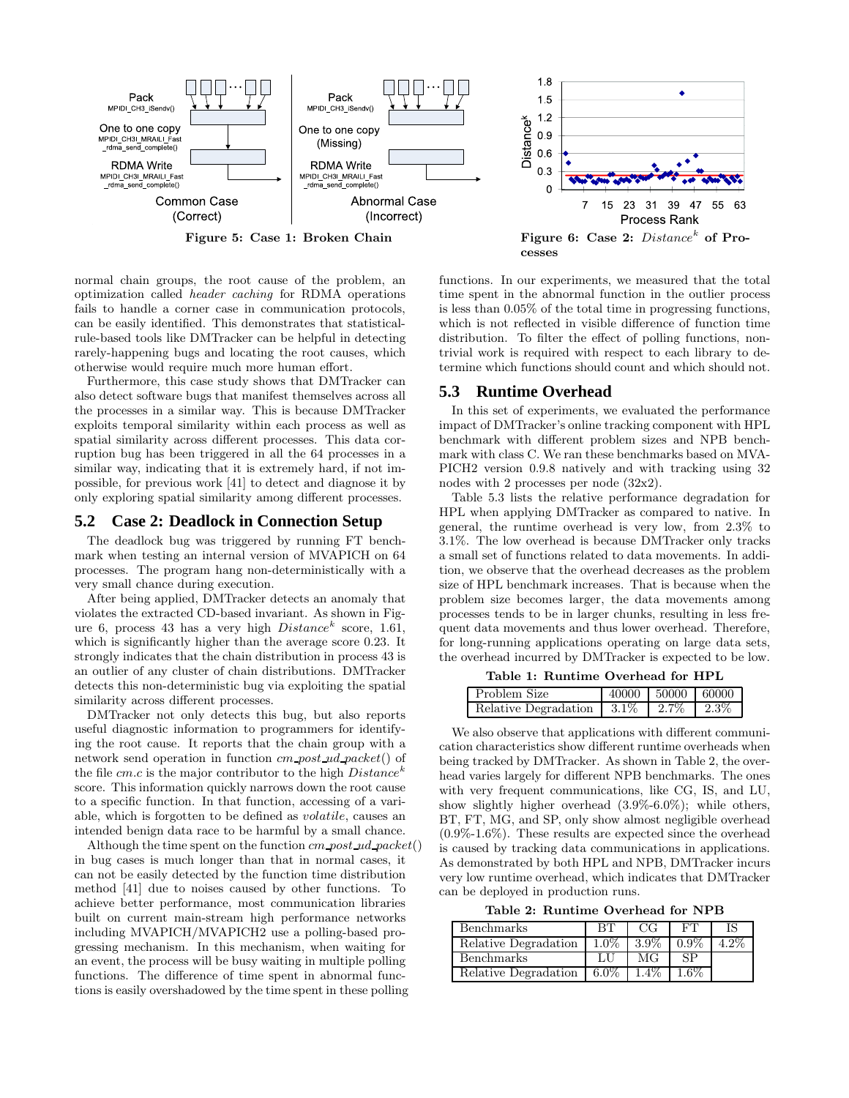

normal chain groups, the root cause of the problem, an optimization called header caching for RDMA operations fails to handle a corner case in communication protocols, can be easily identified. This demonstrates that statisticalrule-based tools like DMTracker can be helpful in detecting rarely-happening bugs and locating the root causes, which otherwise would require much more human effort.

Furthermore, this case study shows that DMTracker can also detect software bugs that manifest themselves across all the processes in a similar way. This is because DMTracker exploits temporal similarity within each process as well as spatial similarity across different processes. This data corruption bug has been triggered in all the 64 processes in a similar way, indicating that it is extremely hard, if not impossible, for previous work [41] to detect and diagnose it by only exploring spatial similarity among different processes.

#### **5.2 Case 2: Deadlock in Connection Setup**

The deadlock bug was triggered by running FT benchmark when testing an internal version of MVAPICH on 64 processes. The program hang non-deterministically with a very small chance during execution.

After being applied, DMTracker detects an anomaly that violates the extracted CD-based invariant. As shown in Figure 6, process 43 has a very high  $Distance^k$  score, 1.61, which is significantly higher than the average score 0.23. It strongly indicates that the chain distribution in process 43 is an outlier of any cluster of chain distributions. DMTracker detects this non-deterministic bug via exploiting the spatial similarity across different processes.

DMTracker not only detects this bug, but also reports useful diagnostic information to programmers for identifying the root cause. It reports that the chain group with a network send operation in function cm post ud packet() of the file cm.c is the major contributor to the high  $Distance^k$ score. This information quickly narrows down the root cause to a specific function. In that function, accessing of a variable, which is forgotten to be defined as volatile, causes an intended benign data race to be harmful by a small chance.

Although the time spent on the function  $cm$ -post-ud-packet() in bug cases is much longer than that in normal cases, it can not be easily detected by the function time distribution method [41] due to noises caused by other functions. To achieve better performance, most communication libraries built on current main-stream high performance networks including MVAPICH/MVAPICH2 use a polling-based progressing mechanism. In this mechanism, when waiting for an event, the process will be busy waiting in multiple polling functions. The difference of time spent in abnormal functions is easily overshadowed by the time spent in these polling

functions. In our experiments, we measured that the total time spent in the abnormal function in the outlier process is less than 0.05% of the total time in progressing functions, which is not reflected in visible difference of function time distribution. To filter the effect of polling functions, nontrivial work is required with respect to each library to determine which functions should count and which should not.

# **5.3 Runtime Overhead**

In this set of experiments, we evaluated the performance impact of DMTracker's online tracking component with HPL benchmark with different problem sizes and NPB benchmark with class C. We ran these benchmarks based on MVA-PICH2 version 0.9.8 natively and with tracking using 32 nodes with 2 processes per node (32x2).

Table 5.3 lists the relative performance degradation for HPL when applying DMTracker as compared to native. In general, the runtime overhead is very low, from 2.3% to 3.1%. The low overhead is because DMTracker only tracks a small set of functions related to data movements. In addition, we observe that the overhead decreases as the problem size of HPL benchmark increases. That is because when the problem size becomes larger, the data movements among processes tends to be in larger chunks, resulting in less frequent data movements and thus lower overhead. Therefore, for long-running applications operating on large data sets, the overhead incurred by DMTracker is expected to be low.

Table 1: Runtime Overhead for HPL

| Problem Size                                 | $40000$   50000   60000 |  |
|----------------------------------------------|-------------------------|--|
| Relative Degradation $3.1\%$ $2.7\%$ $2.3\%$ |                         |  |

We also observe that applications with different communication characteristics show different runtime overheads when being tracked by DMTracker. As shown in Table 2, the overhead varies largely for different NPB benchmarks. The ones with very frequent communications, like CG, IS, and LU, show slightly higher overhead (3.9%-6.0%); while others, BT, FT, MG, and SP, only show almost negligible overhead (0.9%-1.6%). These results are expected since the overhead is caused by tracking data communications in applications. As demonstrated by both HPL and NPB, DMTracker incurs very low runtime overhead, which indicates that DMTracker can be deployed in production runs.

Table 2: Runtime Overhead for NPB

| Benchmarks                                                   | <b>BT</b> | CG.      | FТ      | IS      |
|--------------------------------------------------------------|-----------|----------|---------|---------|
| Relative Degradation                                         | $1.0\%$   | $13.9\%$ | $0.9\%$ | $4.2\%$ |
| <b>Benchmarks</b>                                            |           | МG       | SP      |         |
| Relative Degradation $\mid 6.0\% \mid 1.4\% \mid 1.6\% \mid$ |           |          |         |         |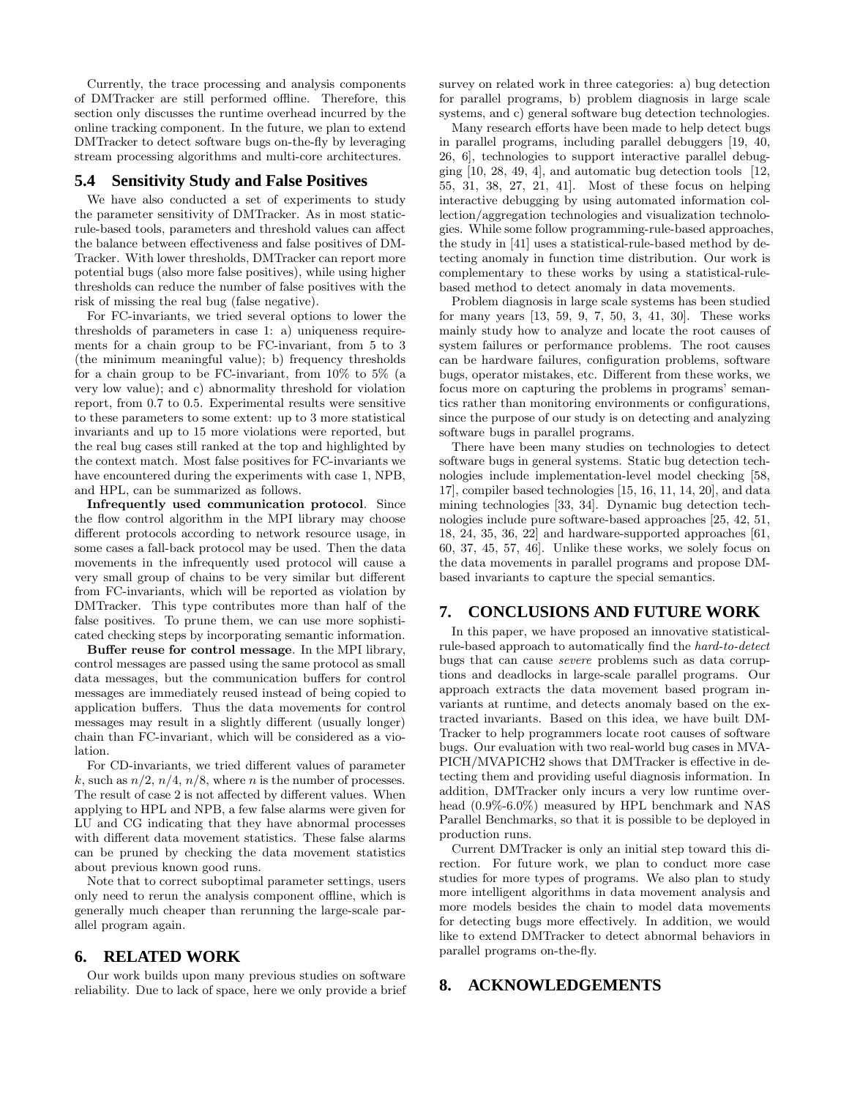Currently, the trace processing and analysis components of DMTracker are still performed offline. Therefore, this section only discusses the runtime overhead incurred by the online tracking component. In the future, we plan to extend DMTracker to detect software bugs on-the-fly by leveraging stream processing algorithms and multi-core architectures.

# **5.4 Sensitivity Study and False Positives**

We have also conducted a set of experiments to study the parameter sensitivity of DMTracker. As in most staticrule-based tools, parameters and threshold values can affect the balance between effectiveness and false positives of DM-Tracker. With lower thresholds, DMTracker can report more potential bugs (also more false positives), while using higher thresholds can reduce the number of false positives with the risk of missing the real bug (false negative).

For FC-invariants, we tried several options to lower the thresholds of parameters in case 1: a) uniqueness requirements for a chain group to be FC-invariant, from 5 to 3 (the minimum meaningful value); b) frequency thresholds for a chain group to be FC-invariant, from 10% to 5% (a very low value); and c) abnormality threshold for violation report, from 0.7 to 0.5. Experimental results were sensitive to these parameters to some extent: up to 3 more statistical invariants and up to 15 more violations were reported, but the real bug cases still ranked at the top and highlighted by the context match. Most false positives for FC-invariants we have encountered during the experiments with case 1, NPB, and HPL, can be summarized as follows.

Infrequently used communication protocol. Since the flow control algorithm in the MPI library may choose different protocols according to network resource usage, in some cases a fall-back protocol may be used. Then the data movements in the infrequently used protocol will cause a very small group of chains to be very similar but different from FC-invariants, which will be reported as violation by DMTracker. This type contributes more than half of the false positives. To prune them, we can use more sophisticated checking steps by incorporating semantic information.

Buffer reuse for control message. In the MPI library, control messages are passed using the same protocol as small data messages, but the communication buffers for control messages are immediately reused instead of being copied to application buffers. Thus the data movements for control messages may result in a slightly different (usually longer) chain than FC-invariant, which will be considered as a violation.

For CD-invariants, we tried different values of parameter k, such as  $n/2$ ,  $n/4$ ,  $n/8$ , where n is the number of processes. The result of case 2 is not affected by different values. When applying to HPL and NPB, a few false alarms were given for LU and CG indicating that they have abnormal processes with different data movement statistics. These false alarms can be pruned by checking the data movement statistics about previous known good runs.

Note that to correct suboptimal parameter settings, users only need to rerun the analysis component offline, which is generally much cheaper than rerunning the large-scale parallel program again.

# **6. RELATED WORK**

Our work builds upon many previous studies on software reliability. Due to lack of space, here we only provide a brief survey on related work in three categories: a) bug detection for parallel programs, b) problem diagnosis in large scale systems, and c) general software bug detection technologies.

Many research efforts have been made to help detect bugs in parallel programs, including parallel debuggers [19, 40, 26, 6], technologies to support interactive parallel debugging  $[10, 28, 49, 4]$ , and automatic bug detection tools  $[12, 49, 4]$ 55, 31, 38, 27, 21, 41]. Most of these focus on helping interactive debugging by using automated information collection/aggregation technologies and visualization technologies. While some follow programming-rule-based approaches, the study in [41] uses a statistical-rule-based method by detecting anomaly in function time distribution. Our work is complementary to these works by using a statistical-rulebased method to detect anomaly in data movements.

Problem diagnosis in large scale systems has been studied for many years [13, 59, 9, 7, 50, 3, 41, 30]. These works mainly study how to analyze and locate the root causes of system failures or performance problems. The root causes can be hardware failures, configuration problems, software bugs, operator mistakes, etc. Different from these works, we focus more on capturing the problems in programs' semantics rather than monitoring environments or configurations, since the purpose of our study is on detecting and analyzing software bugs in parallel programs.

There have been many studies on technologies to detect software bugs in general systems. Static bug detection technologies include implementation-level model checking [58, 17], compiler based technologies [15, 16, 11, 14, 20], and data mining technologies [33, 34]. Dynamic bug detection technologies include pure software-based approaches [25, 42, 51, 18, 24, 35, 36, 22] and hardware-supported approaches [61, 60, 37, 45, 57, 46]. Unlike these works, we solely focus on the data movements in parallel programs and propose DMbased invariants to capture the special semantics.

# **7. CONCLUSIONS AND FUTURE WORK**

In this paper, we have proposed an innovative statisticalrule-based approach to automatically find the hard-to-detect bugs that can cause severe problems such as data corruptions and deadlocks in large-scale parallel programs. Our approach extracts the data movement based program invariants at runtime, and detects anomaly based on the extracted invariants. Based on this idea, we have built DM-Tracker to help programmers locate root causes of software bugs. Our evaluation with two real-world bug cases in MVA-PICH/MVAPICH2 shows that DMTracker is effective in detecting them and providing useful diagnosis information. In addition, DMTracker only incurs a very low runtime overhead (0.9%-6.0%) measured by HPL benchmark and NAS Parallel Benchmarks, so that it is possible to be deployed in production runs.

Current DMTracker is only an initial step toward this direction. For future work, we plan to conduct more case studies for more types of programs. We also plan to study more intelligent algorithms in data movement analysis and more models besides the chain to model data movements for detecting bugs more effectively. In addition, we would like to extend DMTracker to detect abnormal behaviors in parallel programs on-the-fly.

# **8. ACKNOWLEDGEMENTS**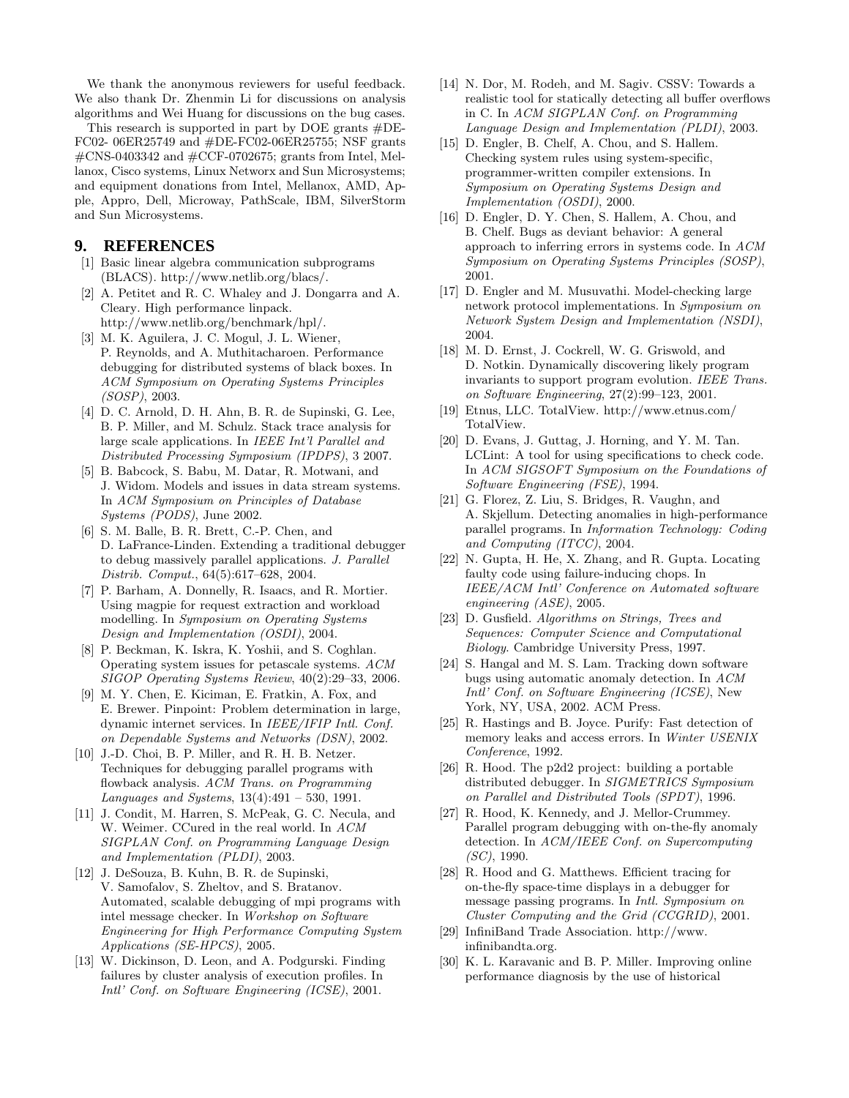We thank the anonymous reviewers for useful feedback. We also thank Dr. Zhenmin Li for discussions on analysis algorithms and Wei Huang for discussions on the bug cases.

This research is supported in part by DOE grants #DE-FC02- 06ER25749 and #DE-FC02-06ER25755; NSF grants  $\text{\#CNS-0403342}$  and  $\text{\#CCF-0702675}$ ; grants from Intel, Mellanox, Cisco systems, Linux Networx and Sun Microsystems; and equipment donations from Intel, Mellanox, AMD, Apple, Appro, Dell, Microway, PathScale, IBM, SilverStorm and Sun Microsystems.

# **9. REFERENCES**

- [1] Basic linear algebra communication subprograms (BLACS). http://www.netlib.org/blacs/.
- [2] A. Petitet and R. C. Whaley and J. Dongarra and A. Cleary. High performance linpack. http://www.netlib.org/benchmark/hpl/.
- [3] M. K. Aguilera, J. C. Mogul, J. L. Wiener,
- P. Reynolds, and A. Muthitacharoen. Performance debugging for distributed systems of black boxes. In ACM Symposium on Operating Systems Principles (SOSP), 2003.
- [4] D. C. Arnold, D. H. Ahn, B. R. de Supinski, G. Lee, B. P. Miller, and M. Schulz. Stack trace analysis for large scale applications. In IEEE Int'l Parallel and Distributed Processing Symposium (IPDPS), 3 2007.
- [5] B. Babcock, S. Babu, M. Datar, R. Motwani, and J. Widom. Models and issues in data stream systems. In ACM Symposium on Principles of Database Systems (PODS), June 2002.
- [6] S. M. Balle, B. R. Brett, C.-P. Chen, and D. LaFrance-Linden. Extending a traditional debugger to debug massively parallel applications. J. Parallel Distrib. Comput., 64(5):617–628, 2004.
- [7] P. Barham, A. Donnelly, R. Isaacs, and R. Mortier. Using magpie for request extraction and workload modelling. In Symposium on Operating Systems Design and Implementation (OSDI), 2004.
- [8] P. Beckman, K. Iskra, K. Yoshii, and S. Coghlan. Operating system issues for petascale systems. ACM SIGOP Operating Systems Review, 40(2):29–33, 2006.
- [9] M. Y. Chen, E. Kiciman, E. Fratkin, A. Fox, and E. Brewer. Pinpoint: Problem determination in large, dynamic internet services. In IEEE/IFIP Intl. Conf. on Dependable Systems and Networks (DSN), 2002.
- [10] J.-D. Choi, B. P. Miller, and R. H. B. Netzer. Techniques for debugging parallel programs with flowback analysis. ACM Trans. on Programming Languages and Systems,  $13(4):491 - 530$ , 1991.
- [11] J. Condit, M. Harren, S. McPeak, G. C. Necula, and W. Weimer. CCured in the real world. In  $ACM$ SIGPLAN Conf. on Programming Language Design and Implementation (PLDI), 2003.
- [12] J. DeSouza, B. Kuhn, B. R. de Supinski, V. Samofalov, S. Zheltov, and S. Bratanov. Automated, scalable debugging of mpi programs with intel message checker. In Workshop on Software Engineering for High Performance Computing System Applications (SE-HPCS), 2005.
- [13] W. Dickinson, D. Leon, and A. Podgurski. Finding failures by cluster analysis of execution profiles. In Intl' Conf. on Software Engineering (ICSE), 2001.
- [14] N. Dor, M. Rodeh, and M. Sagiv. CSSV: Towards a realistic tool for statically detecting all buffer overflows in C. In ACM SIGPLAN Conf. on Programming Language Design and Implementation (PLDI), 2003.
- [15] D. Engler, B. Chelf, A. Chou, and S. Hallem. Checking system rules using system-specific, programmer-written compiler extensions. In Symposium on Operating Systems Design and Implementation (OSDI), 2000.
- [16] D. Engler, D. Y. Chen, S. Hallem, A. Chou, and B. Chelf. Bugs as deviant behavior: A general approach to inferring errors in systems code. In ACM Symposium on Operating Systems Principles (SOSP), 2001.
- [17] D. Engler and M. Musuvathi. Model-checking large network protocol implementations. In Symposium on Network System Design and Implementation (NSDI), 2004.
- [18] M. D. Ernst, J. Cockrell, W. G. Griswold, and D. Notkin. Dynamically discovering likely program invariants to support program evolution. IEEE Trans. on Software Engineering, 27(2):99–123, 2001.
- [19] Etnus, LLC. TotalView. http://www.etnus.com/ TotalView.
- [20] D. Evans, J. Guttag, J. Horning, and Y. M. Tan. LCLint: A tool for using specifications to check code. In ACM SIGSOFT Symposium on the Foundations of Software Engineering (FSE), 1994.
- [21] G. Florez, Z. Liu, S. Bridges, R. Vaughn, and A. Skjellum. Detecting anomalies in high-performance parallel programs. In Information Technology: Coding and Computing (ITCC), 2004.
- [22] N. Gupta, H. He, X. Zhang, and R. Gupta. Locating faulty code using failure-inducing chops. In IEEE/ACM Intl' Conference on Automated software engineering (ASE), 2005.
- [23] D. Gusfield. Algorithms on Strings, Trees and Sequences: Computer Science and Computational Biology. Cambridge University Press, 1997.
- [24] S. Hangal and M. S. Lam. Tracking down software bugs using automatic anomaly detection. In ACM Intl' Conf. on Software Engineering (ICSE), New York, NY, USA, 2002. ACM Press.
- [25] R. Hastings and B. Joyce. Purify: Fast detection of memory leaks and access errors. In Winter USENIX Conference, 1992.
- [26] R. Hood. The p2d2 project: building a portable distributed debugger. In SIGMETRICS Symposium on Parallel and Distributed Tools (SPDT), 1996.
- [27] R. Hood, K. Kennedy, and J. Mellor-Crummey. Parallel program debugging with on-the-fly anomaly detection. In ACM/IEEE Conf. on Supercomputing  $(SC), 1990.$
- [28] R. Hood and G. Matthews. Efficient tracing for on-the-fly space-time displays in a debugger for message passing programs. In Intl. Symposium on Cluster Computing and the Grid (CCGRID), 2001.
- [29] InfiniBand Trade Association. http://www. infinibandta.org.
- [30] K. L. Karavanic and B. P. Miller. Improving online performance diagnosis by the use of historical